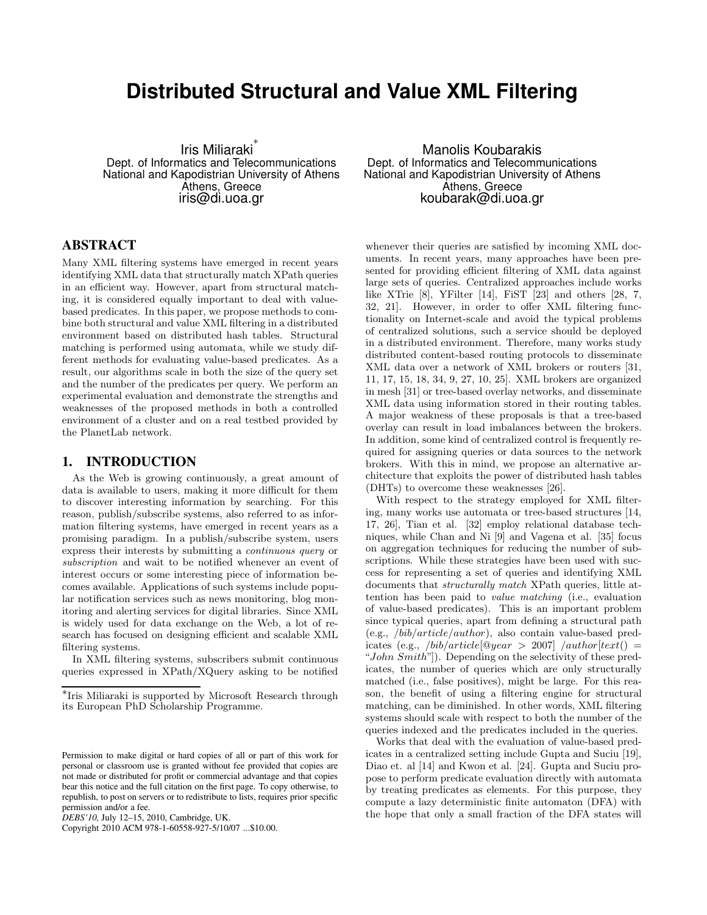# **Distributed Structural and Value XML Filtering**

Iris Miliaraki ∗ Dept. of Informatics and Telecommunications National and Kapodistrian University of Athens Athens, Greece iris@di.uoa.gr

## **ABSTRACT**

Many XML filtering systems have emerged in recent years identifying XML data that structurally match XPath queries in an efficient way. However, apart from structural matching, it is considered equally important to deal with valuebased predicates. In this paper, we propose methods to combine both structural and value XML filtering in a distributed environment based on distributed hash tables. Structural matching is performed using automata, while we study different methods for evaluating value-based predicates. As a result, our algorithms scale in both the size of the query set and the number of the predicates per query. We perform an experimental evaluation and demonstrate the strengths and weaknesses of the proposed methods in both a controlled environment of a cluster and on a real testbed provided by the PlanetLab network.

## **1. INTRODUCTION**

As the Web is growing continuously, a great amount of data is available to users, making it more difficult for them to discover interesting information by searching. For this reason, publish/subscribe systems, also referred to as information filtering systems, have emerged in recent years as a promising paradigm. In a publish/subscribe system, users express their interests by submitting a continuous query or subscription and wait to be notified whenever an event of interest occurs or some interesting piece of information becomes available. Applications of such systems include popular notification services such as news monitoring, blog monitoring and alerting services for digital libraries. Since XML is widely used for data exchange on the Web, a lot of research has focused on designing efficient and scalable XML filtering systems.

In XML filtering systems, subscribers submit continuous queries expressed in XPath/XQuery asking to be notified

Copyright 2010 ACM 978-1-60558-927-5/10/07 ...\$10.00.

Manolis Koubarakis Dept. of Informatics and Telecommunications National and Kapodistrian University of Athens Athens, Greece koubarak@di.uoa.gr

whenever their queries are satisfied by incoming XML documents. In recent years, many approaches have been presented for providing efficient filtering of XML data against large sets of queries. Centralized approaches include works like XTrie [8], YFilter [14], FiST [23] and others [28, 7, 32, 21]. However, in order to offer XML filtering functionality on Internet-scale and avoid the typical problems of centralized solutions, such a service should be deployed in a distributed environment. Therefore, many works study distributed content-based routing protocols to disseminate XML data over a network of XML brokers or routers [31, 11, 17, 15, 18, 34, 9, 27, 10, 25]. XML brokers are organized in mesh [31] or tree-based overlay networks, and disseminate XML data using information stored in their routing tables. A major weakness of these proposals is that a tree-based overlay can result in load imbalances between the brokers. In addition, some kind of centralized control is frequently required for assigning queries or data sources to the network brokers. With this in mind, we propose an alternative architecture that exploits the power of distributed hash tables (DHTs) to overcome these weaknesses [26].

With respect to the strategy employed for XML filtering, many works use automata or tree-based structures [14, 17, 26], Tian et al. [32] employ relational database techniques, while Chan and Ni [9] and Vagena et al. [35] focus on aggregation techniques for reducing the number of subscriptions. While these strategies have been used with success for representing a set of queries and identifying XML documents that structurally match XPath queries, little attention has been paid to value matching (i.e., evaluation of value-based predicates). This is an important problem since typical queries, apart from defining a structural path (e.g., /bib/article/author), also contain value-based predicates (e.g., */bib/article*[ $@year > 2007$ ] */author[text() =* "John  $Smith$ "). Depending on the selectivity of these predicates, the number of queries which are only structurally matched (i.e., false positives), might be large. For this reason, the benefit of using a filtering engine for structural matching, can be diminished. In other words, XML filtering systems should scale with respect to both the number of the queries indexed and the predicates included in the queries.

Works that deal with the evaluation of value-based predicates in a centralized setting include Gupta and Suciu [19], Diao et. al [14] and Kwon et al. [24]. Gupta and Suciu propose to perform predicate evaluation directly with automata by treating predicates as elements. For this purpose, they compute a lazy deterministic finite automaton (DFA) with the hope that only a small fraction of the DFA states will

<sup>∗</sup> Iris Miliaraki is supported by Microsoft Research through its European PhD Scholarship Programme.

Permission to make digital or hard copies of all or part of this work for personal or classroom use is granted without fee provided that copies are not made or distributed for profit or commercial advantage and that copies bear this notice and the full citation on the first page. To copy otherwise, to republish, to post on servers or to redistribute to lists, requires prior specific permission and/or a fee.

*DEBS'10,* July 12–15, 2010, Cambridge, UK.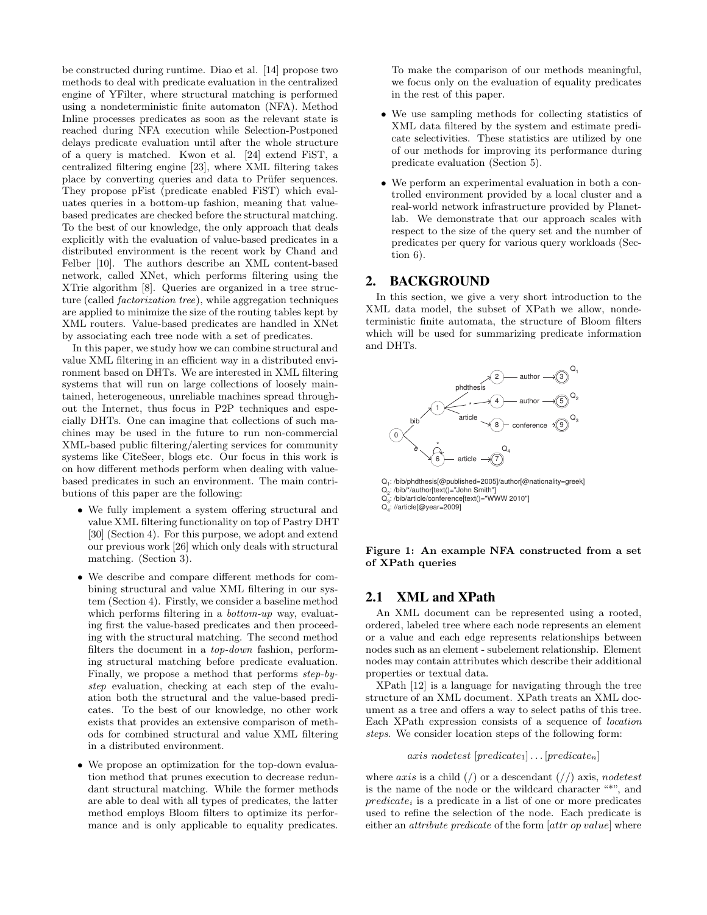be constructed during runtime. Diao et al. [14] propose two methods to deal with predicate evaluation in the centralized engine of YFilter, where structural matching is performed using a nondeterministic finite automaton (NFA). Method Inline processes predicates as soon as the relevant state is reached during NFA execution while Selection-Postponed delays predicate evaluation until after the whole structure of a query is matched. Kwon et al. [24] extend FiST, a centralized filtering engine [23], where XML filtering takes place by converting queries and data to Prüfer sequences. They propose pFist (predicate enabled FiST) which evaluates queries in a bottom-up fashion, meaning that valuebased predicates are checked before the structural matching. To the best of our knowledge, the only approach that deals explicitly with the evaluation of value-based predicates in a distributed environment is the recent work by Chand and Felber [10]. The authors describe an XML content-based network, called XNet, which performs filtering using the XTrie algorithm [8]. Queries are organized in a tree structure (called factorization tree), while aggregation techniques are applied to minimize the size of the routing tables kept by XML routers. Value-based predicates are handled in XNet by associating each tree node with a set of predicates.

In this paper, we study how we can combine structural and value XML filtering in an efficient way in a distributed environment based on DHTs. We are interested in XML filtering systems that will run on large collections of loosely maintained, heterogeneous, unreliable machines spread throughout the Internet, thus focus in P2P techniques and especially DHTs. One can imagine that collections of such machines may be used in the future to run non-commercial XML-based public filtering/alerting services for community systems like CiteSeer, blogs etc. Our focus in this work is on how different methods perform when dealing with valuebased predicates in such an environment. The main contributions of this paper are the following:

- We fully implement a system offering structural and value XML filtering functionality on top of Pastry DHT [30] (Section 4). For this purpose, we adopt and extend our previous work [26] which only deals with structural matching. (Section 3).
- We describe and compare different methods for combining structural and value XML filtering in our system (Section 4). Firstly, we consider a baseline method which performs filtering in a *bottom-up* way, evaluating first the value-based predicates and then proceeding with the structural matching. The second method filters the document in a top-down fashion, performing structural matching before predicate evaluation. Finally, we propose a method that performs step-bystep evaluation, checking at each step of the evaluation both the structural and the value-based predicates. To the best of our knowledge, no other work exists that provides an extensive comparison of methods for combined structural and value XML filtering in a distributed environment.
- We propose an optimization for the top-down evaluation method that prunes execution to decrease redundant structural matching. While the former methods are able to deal with all types of predicates, the latter method employs Bloom filters to optimize its performance and is only applicable to equality predicates.

To make the comparison of our methods meaningful, we focus only on the evaluation of equality predicates in the rest of this paper.

- We use sampling methods for collecting statistics of XML data filtered by the system and estimate predicate selectivities. These statistics are utilized by one of our methods for improving its performance during predicate evaluation (Section 5).
- We perform an experimental evaluation in both a controlled environment provided by a local cluster and a real-world network infrastructure provided by Planetlab. We demonstrate that our approach scales with respect to the size of the query set and the number of predicates per query for various query workloads (Section 6).

## **2. BACKGROUND**

In this section, we give a very short introduction to the XML data model, the subset of XPath we allow, nondeterministic finite automata, the structure of Bloom filters which will be used for summarizing predicate information and DHTs.



Q 1 : /bib/phdthesis[@published=2005]/author[@nationality=greek]

Q<sub>2</sub>: /bib/\*/author[text()="John Smith"]<br>Q<sub>3</sub>: /bib/article/conference[text()="WWW 2010"]

Q<sub>4</sub>: //article[@year=2009]

Figure 1: An example NFA constructed from a set of XPath queries

## **2.1 XML and XPath**

An XML document can be represented using a rooted, ordered, labeled tree where each node represents an element or a value and each edge represents relationships between nodes such as an element - subelement relationship. Element nodes may contain attributes which describe their additional properties or textual data.

XPath [12] is a language for navigating through the tree structure of an XML document. XPath treats an XML document as a tree and offers a way to select paths of this tree. Each XPath expression consists of a sequence of location steps. We consider location steps of the following form:

 $axis\,nodetest\,[predicate_1] \dots[predicate_n]$ 

where *axis* is a child (/) or a descendant (//) axis, nodetest is the name of the node or the wildcard character "\*", and  $predicate_i$  is a predicate in a list of one or more predicates used to refine the selection of the node. Each predicate is either an attribute predicate of the form [attr op value] where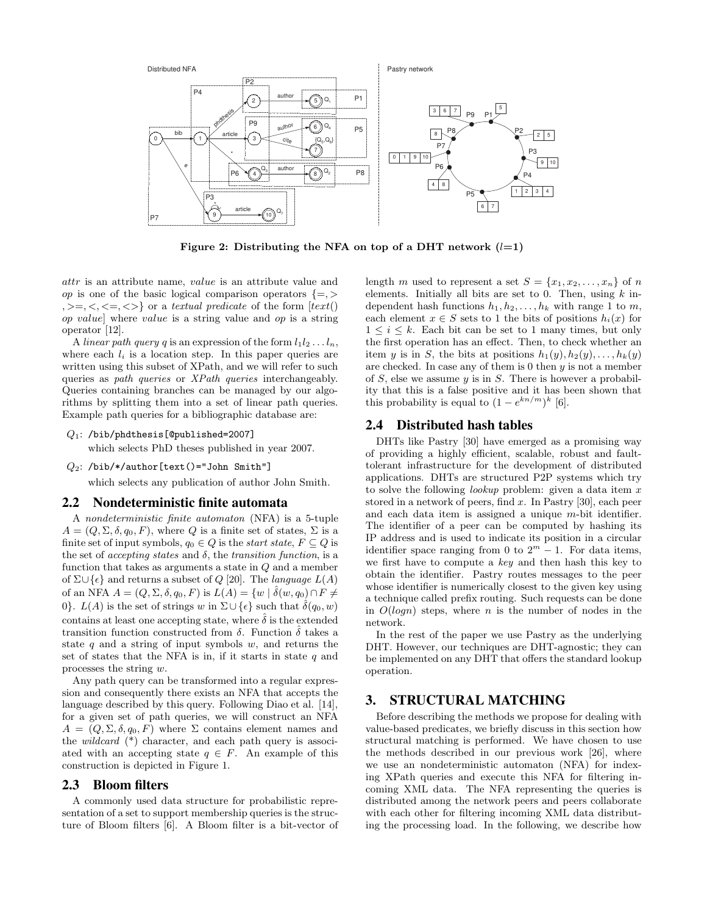

Figure 2: Distributing the NFA on top of a DHT network  $(l=1)$ 

attr is an attribute name, value is an attribute value and op is one of the basic logical comparison operators  $\{ =, >\}$  $, >=, <, <= , <\rangle$  or a textual predicate of the form  $(text()$ op value] where value is a string value and op is a string operator [12].

A linear path query q is an expression of the form  $l_1l_2 \ldots l_n$ , where each  $l_i$  is a location step. In this paper queries are written using this subset of XPath, and we will refer to such queries as path queries or XPath queries interchangeably. Queries containing branches can be managed by our algorithms by splitting them into a set of linear path queries. Example path queries for a bibliographic database are:

#### $Q_1$ : /bib/phdthesis[@published=2007]

which selects PhD theses published in year 2007.

 $Q_2$ : /bib/\*/author[text()="John Smith"]

which selects any publication of author John Smith.

#### **2.2 Nondeterministic finite automata**

A nondeterministic finite automaton (NFA) is a 5-tuple  $A = (Q, \Sigma, \delta, q_0, F)$ , where Q is a finite set of states,  $\Sigma$  is a finite set of input symbols,  $q_0 \in Q$  is the *start state*,  $F \subseteq Q$  is the set of *accepting states* and  $\delta$ , the *transition function*, is a function that takes as arguments a state in Q and a member of  $\Sigma \cup \{\epsilon\}$  and returns a subset of Q [20]. The *language*  $L(A)$ of an NFA  $A = (Q, \Sigma, \delta, q_0, F)$  is  $L(A) = \{w \mid \hat{\delta}(w, q_0) \cap F \neq$ 0}.  $L(A)$  is the set of strings w in  $\Sigma \cup {\epsilon}$  such that  $\hat{\delta}(q_0, w)$ contains at least one accepting state, where  $\delta$  is the extended transition function constructed from δ. Function δ takes a state  $q$  and a string of input symbols  $w$ , and returns the set of states that the NFA is in, if it starts in state  $q$  and processes the string w.

Any path query can be transformed into a regular expression and consequently there exists an NFA that accepts the language described by this query. Following Diao et al. [14], for a given set of path queries, we will construct an NFA  $A = (Q, \Sigma, \delta, q_0, F)$  where  $\Sigma$  contains element names and the *wildcard*  $(*)$  character, and each path query is associated with an accepting state  $q \in F$ . An example of this construction is depicted in Figure 1.

## **2.3 Bloom filters**

A commonly used data structure for probabilistic representation of a set to support membership queries is the structure of Bloom filters [6]. A Bloom filter is a bit-vector of length m used to represent a set  $S = \{x_1, x_2, \ldots, x_n\}$  of n elements. Initially all bits are set to 0. Then, using  $k$  independent hash functions  $h_1, h_2, \ldots, h_k$  with range 1 to m, each element  $x \in S$  sets to 1 the bits of positions  $h_i(x)$  for  $1 \leq i \leq k$ . Each bit can be set to 1 many times, but only the first operation has an effect. Then, to check whether an item y is in S, the bits at positions  $h_1(y), h_2(y), \ldots, h_k(y)$ are checked. In case any of them is 0 then  $y$  is not a member of  $S$ , else we assume  $y$  is in  $S$ . There is however a probability that this is a false positive and it has been shown that this probability is equal to  $(1 - e^{kn/m})^k$  [6].

## **2.4 Distributed hash tables**

DHTs like Pastry [30] have emerged as a promising way of providing a highly efficient, scalable, robust and faulttolerant infrastructure for the development of distributed applications. DHTs are structured P2P systems which try to solve the following *lookup* problem: given a data item  $x$ stored in a network of peers, find  $x$ . In Pastry [30], each peer and each data item is assigned a unique m-bit identifier. The identifier of a peer can be computed by hashing its IP address and is used to indicate its position in a circular identifier space ranging from 0 to  $2^m - 1$ . For data items, we first have to compute a key and then hash this key to obtain the identifier. Pastry routes messages to the peer whose identifier is numerically closest to the given key using a technique called prefix routing. Such requests can be done in  $O(logn)$  steps, where *n* is the number of nodes in the network.

In the rest of the paper we use Pastry as the underlying DHT. However, our techniques are DHT-agnostic; they can be implemented on any DHT that offers the standard lookup operation.

## **3. STRUCTURAL MATCHING**

Before describing the methods we propose for dealing with value-based predicates, we briefly discuss in this section how structural matching is performed. We have chosen to use the methods described in our previous work [26], where we use an nondeterministic automaton (NFA) for indexing XPath queries and execute this NFA for filtering incoming XML data. The NFA representing the queries is distributed among the network peers and peers collaborate with each other for filtering incoming XML data distributing the processing load. In the following, we describe how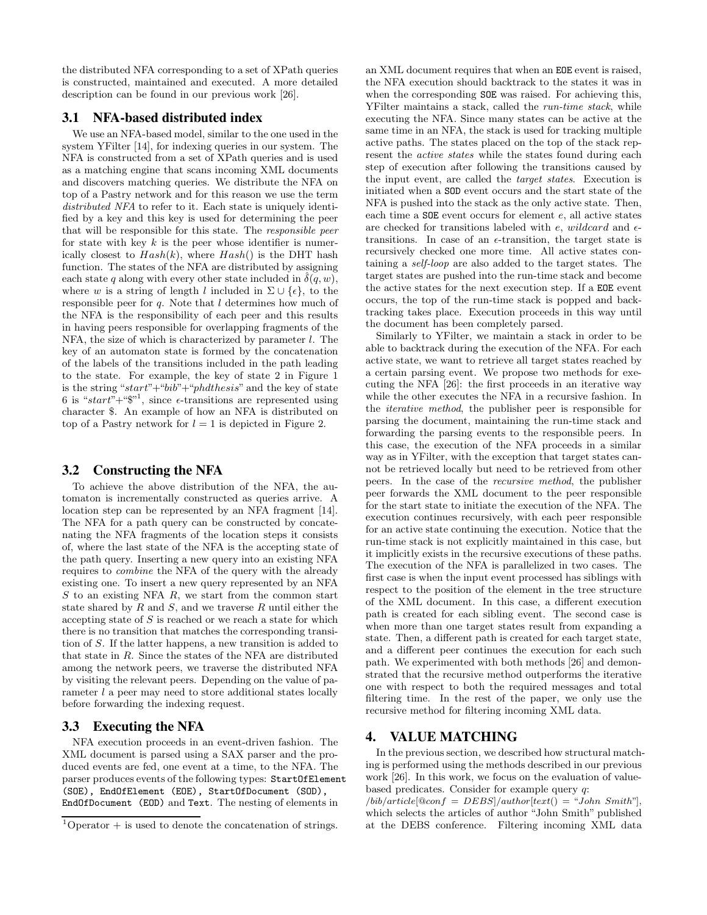the distributed NFA corresponding to a set of XPath queries is constructed, maintained and executed. A more detailed description can be found in our previous work [26].

## **3.1 NFA-based distributed index**

We use an NFA-based model, similar to the one used in the system YFilter [14], for indexing queries in our system. The NFA is constructed from a set of XPath queries and is used as a matching engine that scans incoming XML documents and discovers matching queries. We distribute the NFA on top of a Pastry network and for this reason we use the term distributed NFA to refer to it. Each state is uniquely identified by a key and this key is used for determining the peer that will be responsible for this state. The responsible peer for state with key  $k$  is the peer whose identifier is numerically closest to  $Hash(k)$ , where  $Hash()$  is the DHT hash function. The states of the NFA are distributed by assigning each state q along with every other state included in  $\hat{\delta}(q, w)$ , where w is a string of length l included in  $\Sigma \cup {\epsilon}$ , to the responsible peer for  $q$ . Note that  $l$  determines how much of the NFA is the responsibility of each peer and this results in having peers responsible for overlapping fragments of the NFA, the size of which is characterized by parameter  $l$ . The key of an automaton state is formed by the concatenation of the labels of the transitions included in the path leading to the state. For example, the key of state 2 in Figure 1 is the string "start"+"bib"+"phdthesis" and the key of state 6 is "start"+" $\mathcal{F}^1$ , since  $\epsilon$ -transitions are represented using character \$. An example of how an NFA is distributed on top of a Pastry network for  $l = 1$  is depicted in Figure 2.

## **3.2 Constructing the NFA**

To achieve the above distribution of the NFA, the automaton is incrementally constructed as queries arrive. A location step can be represented by an NFA fragment [14]. The NFA for a path query can be constructed by concatenating the NFA fragments of the location steps it consists of, where the last state of the NFA is the accepting state of the path query. Inserting a new query into an existing NFA requires to combine the NFA of the query with the already existing one. To insert a new query represented by an NFA  $S$  to an existing NFA  $R$ , we start from the common start state shared by  $R$  and  $S$ , and we traverse  $R$  until either the accepting state of S is reached or we reach a state for which there is no transition that matches the corresponding transition of S. If the latter happens, a new transition is added to that state in R. Since the states of the NFA are distributed among the network peers, we traverse the distributed NFA by visiting the relevant peers. Depending on the value of parameter l a peer may need to store additional states locally before forwarding the indexing request.

## **3.3 Executing the NFA**

NFA execution proceeds in an event-driven fashion. The XML document is parsed using a SAX parser and the produced events are fed, one event at a time, to the NFA. The parser produces events of the following types: StartOfElement (SOE), EndOfElement (EOE), StartOfDocument (SOD), EndOfDocument (EOD) and Text. The nesting of elements in

an XML document requires that when an EOE event is raised, the NFA execution should backtrack to the states it was in when the corresponding SOE was raised. For achieving this, YFilter maintains a stack, called the run-time stack, while executing the NFA. Since many states can be active at the same time in an NFA, the stack is used for tracking multiple active paths. The states placed on the top of the stack represent the *active states* while the states found during each step of execution after following the transitions caused by the input event, are called the target states. Execution is initiated when a SOD event occurs and the start state of the NFA is pushed into the stack as the only active state. Then, each time a SOE event occurs for element e, all active states are checked for transitions labeled with e, wildcard and  $\epsilon$ transitions. In case of an  $\epsilon$ -transition, the target state is recursively checked one more time. All active states containing a self-loop are also added to the target states. The target states are pushed into the run-time stack and become the active states for the next execution step. If a EOE event occurs, the top of the run-time stack is popped and backtracking takes place. Execution proceeds in this way until the document has been completely parsed.

Similarly to YFilter, we maintain a stack in order to be able to backtrack during the execution of the NFA. For each active state, we want to retrieve all target states reached by a certain parsing event. We propose two methods for executing the NFA [26]: the first proceeds in an iterative way while the other executes the NFA in a recursive fashion. In the iterative method, the publisher peer is responsible for parsing the document, maintaining the run-time stack and forwarding the parsing events to the responsible peers. In this case, the execution of the NFA proceeds in a similar way as in YFilter, with the exception that target states cannot be retrieved locally but need to be retrieved from other peers. In the case of the recursive method, the publisher peer forwards the XML document to the peer responsible for the start state to initiate the execution of the NFA. The execution continues recursively, with each peer responsible for an active state continuing the execution. Notice that the run-time stack is not explicitly maintained in this case, but it implicitly exists in the recursive executions of these paths. The execution of the NFA is parallelized in two cases. The first case is when the input event processed has siblings with respect to the position of the element in the tree structure of the XML document. In this case, a different execution path is created for each sibling event. The second case is when more than one target states result from expanding a state. Then, a different path is created for each target state, and a different peer continues the execution for each such path. We experimented with both methods [26] and demonstrated that the recursive method outperforms the iterative one with respect to both the required messages and total filtering time. In the rest of the paper, we only use the recursive method for filtering incoming XML data.

## **4. VALUE MATCHING**

In the previous section, we described how structural matching is performed using the methods described in our previous work [26]. In this work, we focus on the evaluation of valuebased predicates. Consider for example query q:

 $/bib/article[@conf = DEBS]/author[text() = "John Smith"],$ which selects the articles of author "John Smith" published at the DEBS conference. Filtering incoming XML data

 $1$ Operator  $+$  is used to denote the concatenation of strings.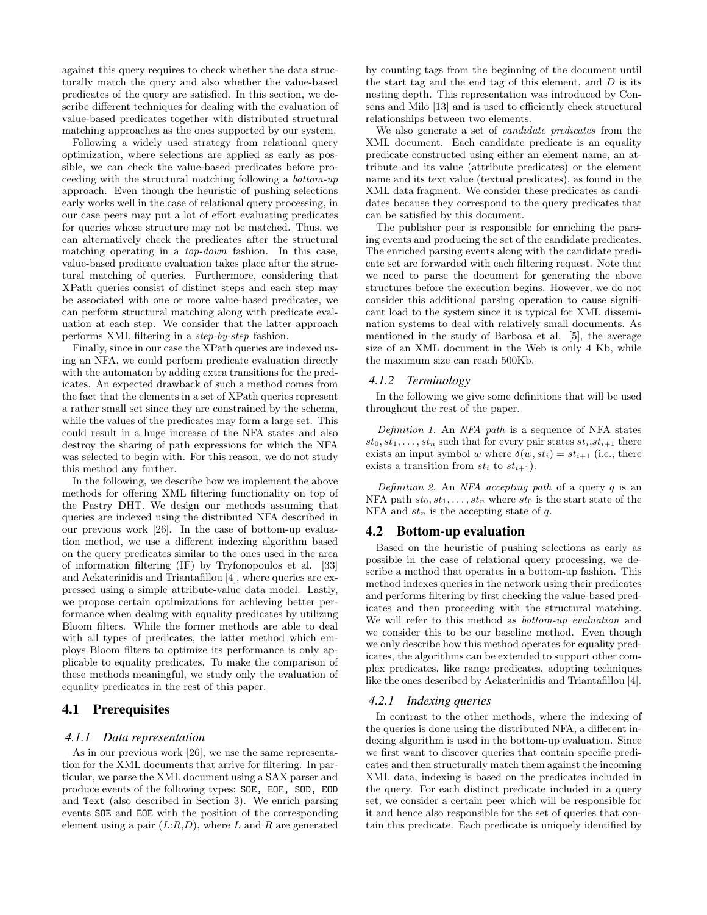against this query requires to check whether the data structurally match the query and also whether the value-based predicates of the query are satisfied. In this section, we describe different techniques for dealing with the evaluation of value-based predicates together with distributed structural matching approaches as the ones supported by our system.

Following a widely used strategy from relational query optimization, where selections are applied as early as possible, we can check the value-based predicates before proceeding with the structural matching following a bottom-up approach. Even though the heuristic of pushing selections early works well in the case of relational query processing, in our case peers may put a lot of effort evaluating predicates for queries whose structure may not be matched. Thus, we can alternatively check the predicates after the structural matching operating in a top-down fashion. In this case, value-based predicate evaluation takes place after the structural matching of queries. Furthermore, considering that XPath queries consist of distinct steps and each step may be associated with one or more value-based predicates, we can perform structural matching along with predicate evaluation at each step. We consider that the latter approach performs XML filtering in a step-by-step fashion.

Finally, since in our case the XPath queries are indexed using an NFA, we could perform predicate evaluation directly with the automaton by adding extra transitions for the predicates. An expected drawback of such a method comes from the fact that the elements in a set of XPath queries represent a rather small set since they are constrained by the schema, while the values of the predicates may form a large set. This could result in a huge increase of the NFA states and also destroy the sharing of path expressions for which the NFA was selected to begin with. For this reason, we do not study this method any further.

In the following, we describe how we implement the above methods for offering XML filtering functionality on top of the Pastry DHT. We design our methods assuming that queries are indexed using the distributed NFA described in our previous work [26]. In the case of bottom-up evaluation method, we use a different indexing algorithm based on the query predicates similar to the ones used in the area of information filtering (IF) by Tryfonopoulos et al. [33] and Aekaterinidis and Triantafillou [4], where queries are expressed using a simple attribute-value data model. Lastly, we propose certain optimizations for achieving better performance when dealing with equality predicates by utilizing Bloom filters. While the former methods are able to deal with all types of predicates, the latter method which employs Bloom filters to optimize its performance is only applicable to equality predicates. To make the comparison of these methods meaningful, we study only the evaluation of equality predicates in the rest of this paper.

## **4.1 Prerequisites**

#### *4.1.1 Data representation*

As in our previous work [26], we use the same representation for the XML documents that arrive for filtering. In particular, we parse the XML document using a SAX parser and produce events of the following types: SOE, EOE, SOD, EOD and Text (also described in Section 3). We enrich parsing events SOE and EOE with the position of the corresponding element using a pair  $(L:R,D)$ , where L and R are generated

by counting tags from the beginning of the document until the start tag and the end tag of this element, and  $D$  is its nesting depth. This representation was introduced by Consens and Milo [13] and is used to efficiently check structural relationships between two elements.

We also generate a set of *candidate predicates* from the XML document. Each candidate predicate is an equality predicate constructed using either an element name, an attribute and its value (attribute predicates) or the element name and its text value (textual predicates), as found in the XML data fragment. We consider these predicates as candidates because they correspond to the query predicates that can be satisfied by this document.

The publisher peer is responsible for enriching the parsing events and producing the set of the candidate predicates. The enriched parsing events along with the candidate predicate set are forwarded with each filtering request. Note that we need to parse the document for generating the above structures before the execution begins. However, we do not consider this additional parsing operation to cause significant load to the system since it is typical for XML dissemination systems to deal with relatively small documents. As mentioned in the study of Barbosa et al. [5], the average size of an XML document in the Web is only 4 Kb, while the maximum size can reach 500Kb.

#### *4.1.2 Terminology*

In the following we give some definitions that will be used throughout the rest of the paper.

Definition 1. An NFA path is a sequence of NFA states  $st_0, st_1, \ldots, st_n$  such that for every pair states  $st_i, st_{i+1}$  there exists an input symbol w where  $\delta(w, st_i) = st_{i+1}$  (i.e., there exists a transition from  $st_i$  to  $st_{i+1}$ ).

Definition 2. An NFA accepting path of a query  $q$  is an NFA path  $st_0, st_1, \ldots, st_n$  where  $st_0$  is the start state of the NFA and  $st_n$  is the accepting state of q.

## **4.2 Bottom-up evaluation**

Based on the heuristic of pushing selections as early as possible in the case of relational query processing, we describe a method that operates in a bottom-up fashion. This method indexes queries in the network using their predicates and performs filtering by first checking the value-based predicates and then proceeding with the structural matching. We will refer to this method as bottom-up evaluation and we consider this to be our baseline method. Even though we only describe how this method operates for equality predicates, the algorithms can be extended to support other complex predicates, like range predicates, adopting techniques like the ones described by Aekaterinidis and Triantafillou [4].

#### *4.2.1 Indexing queries*

In contrast to the other methods, where the indexing of the queries is done using the distributed NFA, a different indexing algorithm is used in the bottom-up evaluation. Since we first want to discover queries that contain specific predicates and then structurally match them against the incoming XML data, indexing is based on the predicates included in the query. For each distinct predicate included in a query set, we consider a certain peer which will be responsible for it and hence also responsible for the set of queries that contain this predicate. Each predicate is uniquely identified by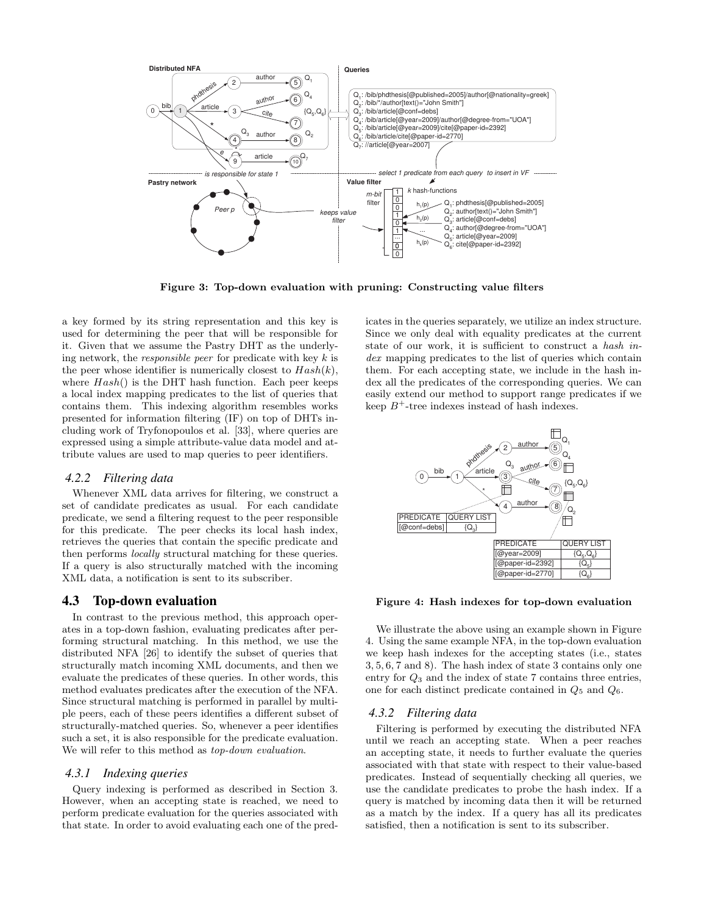

Figure 3: Top-down evaluation with pruning: Constructing value filters

a key formed by its string representation and this key is used for determining the peer that will be responsible for it. Given that we assume the Pastry DHT as the underlying network, the *responsible peer* for predicate with key  $k$  is the peer whose identifier is numerically closest to  $Hash(k)$ , where  $Hash()$  is the DHT hash function. Each peer keeps a local index mapping predicates to the list of queries that contains them. This indexing algorithm resembles works presented for information filtering (IF) on top of DHTs including work of Tryfonopoulos et al. [33], where queries are expressed using a simple attribute-value data model and attribute values are used to map queries to peer identifiers.

#### *4.2.2 Filtering data*

Whenever XML data arrives for filtering, we construct a set of candidate predicates as usual. For each candidate predicate, we send a filtering request to the peer responsible for this predicate. The peer checks its local hash index, retrieves the queries that contain the specific predicate and then performs locally structural matching for these queries. If a query is also structurally matched with the incoming XML data, a notification is sent to its subscriber.

#### **4.3 Top-down evaluation**

In contrast to the previous method, this approach operates in a top-down fashion, evaluating predicates after performing structural matching. In this method, we use the distributed NFA [26] to identify the subset of queries that structurally match incoming XML documents, and then we evaluate the predicates of these queries. In other words, this method evaluates predicates after the execution of the NFA. Since structural matching is performed in parallel by multiple peers, each of these peers identifies a different subset of structurally-matched queries. So, whenever a peer identifies such a set, it is also responsible for the predicate evaluation. We will refer to this method as *top-down evaluation*.

#### *4.3.1 Indexing queries*

Query indexing is performed as described in Section 3. However, when an accepting state is reached, we need to perform predicate evaluation for the queries associated with that state. In order to avoid evaluating each one of the predicates in the queries separately, we utilize an index structure. Since we only deal with equality predicates at the current state of our work, it is sufficient to construct a hash index mapping predicates to the list of queries which contain them. For each accepting state, we include in the hash index all the predicates of the corresponding queries. We can easily extend our method to support range predicates if we keep  $B^+$ -tree indexes instead of hash indexes.



Figure 4: Hash indexes for top-down evaluation

We illustrate the above using an example shown in Figure 4. Using the same example NFA, in the top-down evaluation we keep hash indexes for the accepting states (i.e., states 3, 5, 6, 7 and 8). The hash index of state 3 contains only one entry for  $Q_3$  and the index of state 7 contains three entries, one for each distinct predicate contained in  $Q_5$  and  $Q_6$ .

#### *4.3.2 Filtering data*

Filtering is performed by executing the distributed NFA until we reach an accepting state. When a peer reaches an accepting state, it needs to further evaluate the queries associated with that state with respect to their value-based predicates. Instead of sequentially checking all queries, we use the candidate predicates to probe the hash index. If a query is matched by incoming data then it will be returned as a match by the index. If a query has all its predicates satisfied, then a notification is sent to its subscriber.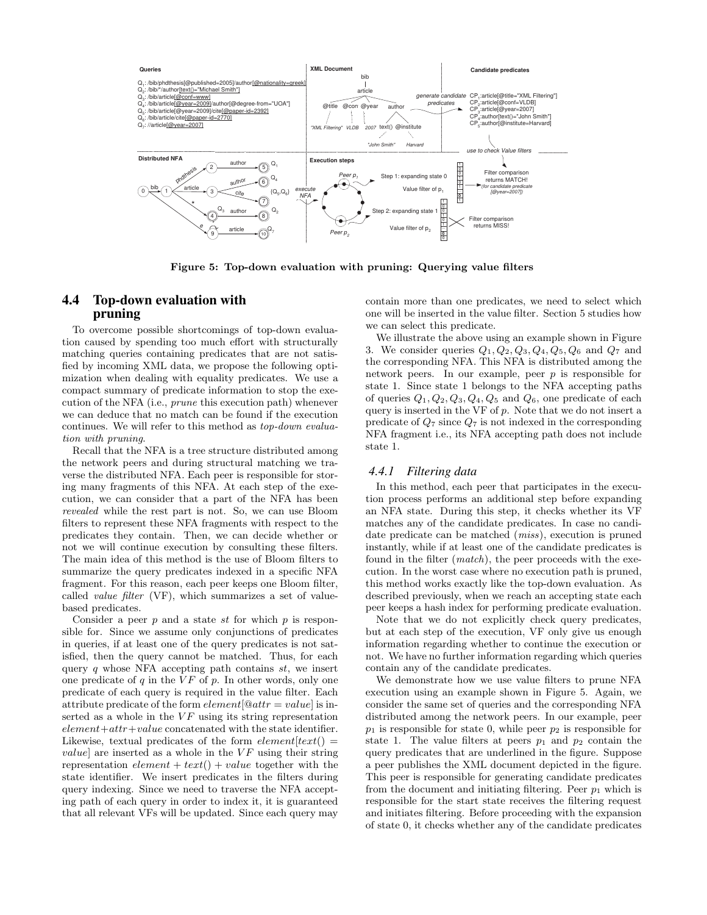

Figure 5: Top-down evaluation with pruning: Querying value filters

## **4.4 Top-down evaluation with pruning**

To overcome possible shortcomings of top-down evaluation caused by spending too much effort with structurally matching queries containing predicates that are not satisfied by incoming XML data, we propose the following optimization when dealing with equality predicates. We use a compact summary of predicate information to stop the execution of the NFA (i.e., prune this execution path) whenever we can deduce that no match can be found if the execution continues. We will refer to this method as top-down evaluation with pruning.

Recall that the NFA is a tree structure distributed among the network peers and during structural matching we traverse the distributed NFA. Each peer is responsible for storing many fragments of this NFA. At each step of the execution, we can consider that a part of the NFA has been revealed while the rest part is not. So, we can use Bloom filters to represent these NFA fragments with respect to the predicates they contain. Then, we can decide whether or not we will continue execution by consulting these filters. The main idea of this method is the use of Bloom filters to summarize the query predicates indexed in a specific NFA fragment. For this reason, each peer keeps one Bloom filter, called value filter (VF), which summarizes a set of valuebased predicates.

Consider a peer  $p$  and a state st for which  $p$  is responsible for. Since we assume only conjunctions of predicates in queries, if at least one of the query predicates is not satisfied, then the query cannot be matched. Thus, for each query  $q$  whose NFA accepting path contains  $st$ , we insert one predicate of  $q$  in the  $VF$  of  $p$ . In other words, only one predicate of each query is required in the value filter. Each attribute predicate of the form  $element[@attr = value]$  is inserted as a whole in the  $VF$  using its string representation  $element + attr + value$  concatenated with the state identifier. Likewise, textual predicates of the form  $element(text() =$ *value* are inserted as a whole in the  $VF$  using their string representation  $element + text() + value$  together with the state identifier. We insert predicates in the filters during query indexing. Since we need to traverse the NFA accepting path of each query in order to index it, it is guaranteed that all relevant VFs will be updated. Since each query may

contain more than one predicates, we need to select which one will be inserted in the value filter. Section 5 studies how we can select this predicate.

We illustrate the above using an example shown in Figure 3. We consider queries  $Q_1, Q_2, Q_3, Q_4, Q_5, Q_6$  and  $Q_7$  and the corresponding NFA. This NFA is distributed among the network peers. In our example, peer  $p$  is responsible for state 1. Since state 1 belongs to the NFA accepting paths of queries  $Q_1, Q_2, Q_3, Q_4, Q_5$  and  $Q_6$ , one predicate of each query is inserted in the VF of p. Note that we do not insert a predicate of  $Q_7$  since  $Q_7$  is not indexed in the corresponding NFA fragment i.e., its NFA accepting path does not include state 1.

#### *4.4.1 Filtering data*

In this method, each peer that participates in the execution process performs an additional step before expanding an NFA state. During this step, it checks whether its VF matches any of the candidate predicates. In case no candidate predicate can be matched (miss), execution is pruned instantly, while if at least one of the candidate predicates is found in the filter (match), the peer proceeds with the execution. In the worst case where no execution path is pruned, this method works exactly like the top-down evaluation. As described previously, when we reach an accepting state each peer keeps a hash index for performing predicate evaluation.

Note that we do not explicitly check query predicates, but at each step of the execution, VF only give us enough information regarding whether to continue the execution or not. We have no further information regarding which queries contain any of the candidate predicates.

We demonstrate how we use value filters to prune NFA execution using an example shown in Figure 5. Again, we consider the same set of queries and the corresponding NFA distributed among the network peers. In our example, peer  $p_1$  is responsible for state 0, while peer  $p_2$  is responsible for state 1. The value filters at peers  $p_1$  and  $p_2$  contain the query predicates that are underlined in the figure. Suppose a peer publishes the XML document depicted in the figure. This peer is responsible for generating candidate predicates from the document and initiating filtering. Peer  $p_1$  which is responsible for the start state receives the filtering request and initiates filtering. Before proceeding with the expansion of state 0, it checks whether any of the candidate predicates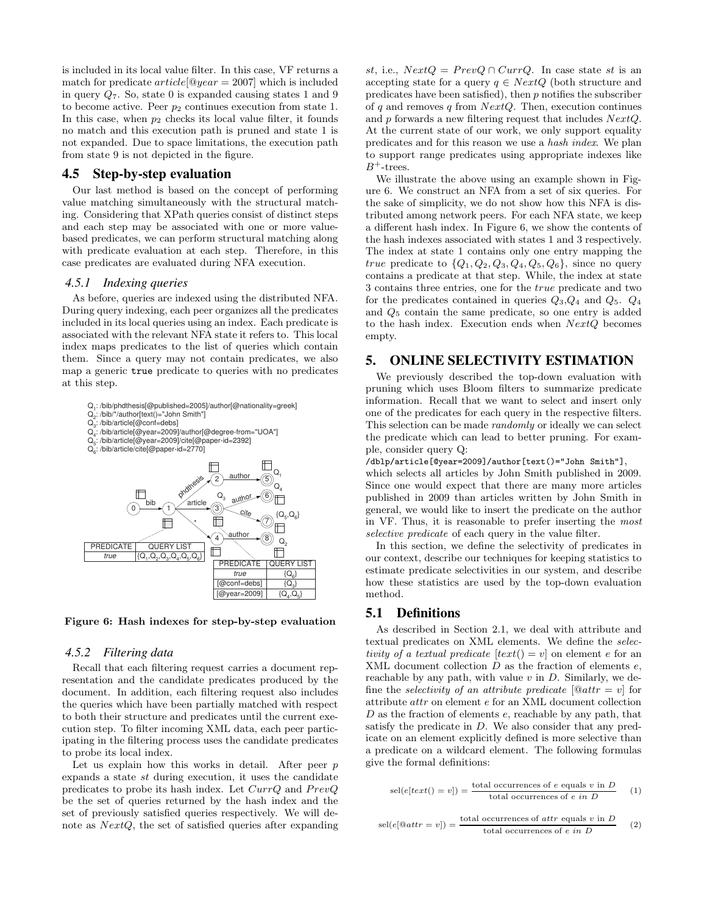is included in its local value filter. In this case, VF returns a match for predicate  $article$ [ $@year = 2007$ ] which is included in query  $Q_7$ . So, state 0 is expanded causing states 1 and 9 to become active. Peer  $p_2$  continues execution from state 1. In this case, when  $p_2$  checks its local value filter, it founds no match and this execution path is pruned and state 1 is not expanded. Due to space limitations, the execution path from state 9 is not depicted in the figure.

## **4.5 Step-by-step evaluation**

Our last method is based on the concept of performing value matching simultaneously with the structural matching. Considering that XPath queries consist of distinct steps and each step may be associated with one or more valuebased predicates, we can perform structural matching along with predicate evaluation at each step. Therefore, in this case predicates are evaluated during NFA execution.

#### *4.5.1 Indexing queries*

As before, queries are indexed using the distributed NFA. During query indexing, each peer organizes all the predicates included in its local queries using an index. Each predicate is associated with the relevant NFA state it refers to. This local index maps predicates to the list of queries which contain them. Since a query may not contain predicates, we also map a generic true predicate to queries with no predicates at this step.

- Q<sub>1</sub>: /bib/phdthesis[@published=2005]/author[@nationality=greek]
- Q<sub>2</sub>: /bib/\*/author[text()="John Smith"]
- Q<sub>3</sub>: /bib/article[@conf=debs]
- Q4: /bib/article[@year=2009]/author[@degree-from="UOA"]
- Q 5 : 
/bib/article[@year=2009]/cite[@paper-id=2392]
- Q.: /bib/article/cite[@paper-id=2770]



Figure 6: Hash indexes for step-by-step evaluation

#### *4.5.2 Filtering data*

Recall that each filtering request carries a document representation and the candidate predicates produced by the document. In addition, each filtering request also includes the queries which have been partially matched with respect to both their structure and predicates until the current execution step. To filter incoming XML data, each peer participating in the filtering process uses the candidate predicates to probe its local index.

Let us explain how this works in detail. After peer  $p$ expands a state st during execution, it uses the candidate predicates to probe its hash index. Let  $CurrQ$  and  $PrevQ$ be the set of queries returned by the hash index and the set of previously satisfied queries respectively. We will denote as NextQ, the set of satisfied queries after expanding st, i.e.,  $NextQ = PrevQ \cap CurrQ$ . In case state st is an accepting state for a query  $q \in NextQ$  (both structure and predicates have been satisfied), then p notifies the subscriber of q and removes q from  $NextQ$ . Then, execution continues and p forwards a new filtering request that includes NextQ. At the current state of our work, we only support equality predicates and for this reason we use a hash index. We plan to support range predicates using appropriate indexes like  $B^+$ -trees.

We illustrate the above using an example shown in Figure 6. We construct an NFA from a set of six queries. For the sake of simplicity, we do not show how this NFA is distributed among network peers. For each NFA state, we keep a different hash index. In Figure 6, we show the contents of the hash indexes associated with states 1 and 3 respectively. The index at state 1 contains only one entry mapping the true predicate to  $\{Q_1, Q_2, Q_3, Q_4, Q_5, Q_6\}$ , since no query contains a predicate at that step. While, the index at state 3 contains three entries, one for the true predicate and two for the predicates contained in queries  $Q_3, Q_4$  and  $Q_5$ .  $Q_4$ and Q<sup>5</sup> contain the same predicate, so one entry is added to the hash index. Execution ends when  $NextQ$  becomes empty.

## **5. ONLINE SELECTIVITY ESTIMATION**

We previously described the top-down evaluation with pruning which uses Bloom filters to summarize predicate information. Recall that we want to select and insert only one of the predicates for each query in the respective filters. This selection can be made randomly or ideally we can select the predicate which can lead to better pruning. For example, consider query Q:

/dblp/article[@year=2009]/author[text()="John Smith"],

which selects all articles by John Smith published in 2009. Since one would expect that there are many more articles published in 2009 than articles written by John Smith in general, we would like to insert the predicate on the author in VF. Thus, it is reasonable to prefer inserting the most selective predicate of each query in the value filter.

In this section, we define the selectivity of predicates in our context, describe our techniques for keeping statistics to estimate predicate selectivities in our system, and describe how these statistics are used by the top-down evaluation method.

#### **5.1 Definitions**

As described in Section 2.1, we deal with attribute and textual predicates on XML elements. We define the selectivity of a textual predicate  $(text() = v]$  on element e for an XML document collection  $D$  as the fraction of elements  $e$ , reachable by any path, with value  $v$  in  $D$ . Similarly, we define the *selectivity of an attribute predicate*  $[@attr = v]$  for attribute attr on element e for an XML document collection D as the fraction of elements e, reachable by any path, that satisfy the predicate in D. We also consider that any predicate on an element explicitly defined is more selective than a predicate on a wildcard element. The following formulas give the formal definitions:

$$
sel(e[text() = v]) = \frac{\text{total occurrences of } e \text{ equals } v \text{ in } D}{\text{total occurrences of } e \text{ in } D}
$$
 (1)

$$
sel(e[@attr = v]) = \frac{\text{total occurrences of }attr \text{ equals } v \text{ in } D}{\text{total occurrences of } e \text{ in } D}
$$
 (2)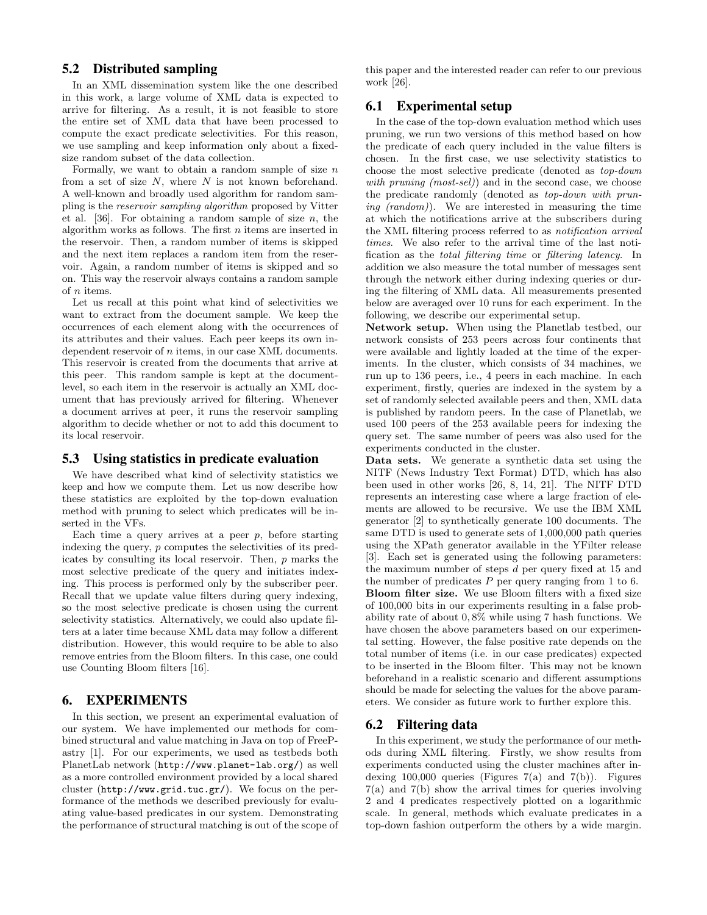## **5.2 Distributed sampling**

In an XML dissemination system like the one described in this work, a large volume of XML data is expected to arrive for filtering. As a result, it is not feasible to store the entire set of XML data that have been processed to compute the exact predicate selectivities. For this reason, we use sampling and keep information only about a fixedsize random subset of the data collection.

Formally, we want to obtain a random sample of size  $n$ from a set of size  $N$ , where  $N$  is not known beforehand. A well-known and broadly used algorithm for random sampling is the reservoir sampling algorithm proposed by Vitter et al.  $[36]$ . For obtaining a random sample of size *n*, the algorithm works as follows. The first  $n$  items are inserted in the reservoir. Then, a random number of items is skipped and the next item replaces a random item from the reservoir. Again, a random number of items is skipped and so on. This way the reservoir always contains a random sample of  $n$  items.

Let us recall at this point what kind of selectivities we want to extract from the document sample. We keep the occurrences of each element along with the occurrences of its attributes and their values. Each peer keeps its own independent reservoir of n items, in our case XML documents. This reservoir is created from the documents that arrive at this peer. This random sample is kept at the documentlevel, so each item in the reservoir is actually an XML document that has previously arrived for filtering. Whenever a document arrives at peer, it runs the reservoir sampling algorithm to decide whether or not to add this document to its local reservoir.

#### **5.3 Using statistics in predicate evaluation**

We have described what kind of selectivity statistics we keep and how we compute them. Let us now describe how these statistics are exploited by the top-down evaluation method with pruning to select which predicates will be inserted in the VFs.

Each time a query arrives at a peer  $p$ , before starting indexing the query, p computes the selectivities of its predicates by consulting its local reservoir. Then, p marks the most selective predicate of the query and initiates indexing. This process is performed only by the subscriber peer. Recall that we update value filters during query indexing, so the most selective predicate is chosen using the current selectivity statistics. Alternatively, we could also update filters at a later time because XML data may follow a different distribution. However, this would require to be able to also remove entries from the Bloom filters. In this case, one could use Counting Bloom filters [16].

## **6. EXPERIMENTS**

In this section, we present an experimental evaluation of our system. We have implemented our methods for combined structural and value matching in Java on top of FreePastry [1]. For our experiments, we used as testbeds both PlanetLab network (http://www.planet-lab.org/) as well as a more controlled environment provided by a local shared cluster (http://www.grid.tuc.gr/). We focus on the performance of the methods we described previously for evaluating value-based predicates in our system. Demonstrating the performance of structural matching is out of the scope of this paper and the interested reader can refer to our previous work [26].

## **6.1 Experimental setup**

In the case of the top-down evaluation method which uses pruning, we run two versions of this method based on how the predicate of each query included in the value filters is chosen. In the first case, we use selectivity statistics to choose the most selective predicate (denoted as top-down with pruning (most-sel)) and in the second case, we choose the predicate randomly (denoted as top-down with pruning (random)). We are interested in measuring the time at which the notifications arrive at the subscribers during the XML filtering process referred to as notification arrival times. We also refer to the arrival time of the last notification as the total filtering time or filtering latency. In addition we also measure the total number of messages sent through the network either during indexing queries or during the filtering of XML data. All measurements presented below are averaged over 10 runs for each experiment. In the following, we describe our experimental setup.

Network setup. When using the Planetlab testbed, our network consists of 253 peers across four continents that were available and lightly loaded at the time of the experiments. In the cluster, which consists of 34 machines, we run up to 136 peers, i.e., 4 peers in each machine. In each experiment, firstly, queries are indexed in the system by a set of randomly selected available peers and then, XML data is published by random peers. In the case of Planetlab, we used 100 peers of the 253 available peers for indexing the query set. The same number of peers was also used for the experiments conducted in the cluster.

Data sets. We generate a synthetic data set using the NITF (News Industry Text Format) DTD, which has also been used in other works [26, 8, 14, 21]. The NITF DTD represents an interesting case where a large fraction of elements are allowed to be recursive. We use the IBM XML generator [2] to synthetically generate 100 documents. The same DTD is used to generate sets of 1,000,000 path queries using the XPath generator available in the YFilter release [3]. Each set is generated using the following parameters: the maximum number of steps d per query fixed at 15 and the number of predicates  $P$  per query ranging from 1 to 6. Bloom filter size. We use Bloom filters with a fixed size of 100,000 bits in our experiments resulting in a false probability rate of about 0, 8% while using 7 hash functions. We have chosen the above parameters based on our experimental setting. However, the false positive rate depends on the total number of items (i.e. in our case predicates) expected to be inserted in the Bloom filter. This may not be known beforehand in a realistic scenario and different assumptions should be made for selecting the values for the above parameters. We consider as future work to further explore this.

## **6.2 Filtering data**

In this experiment, we study the performance of our methods during XML filtering. Firstly, we show results from experiments conducted using the cluster machines after indexing 100,000 queries (Figures  $7(a)$  and  $7(b)$ ). Figures 7(a) and 7(b) show the arrival times for queries involving 2 and 4 predicates respectively plotted on a logarithmic scale. In general, methods which evaluate predicates in a top-down fashion outperform the others by a wide margin.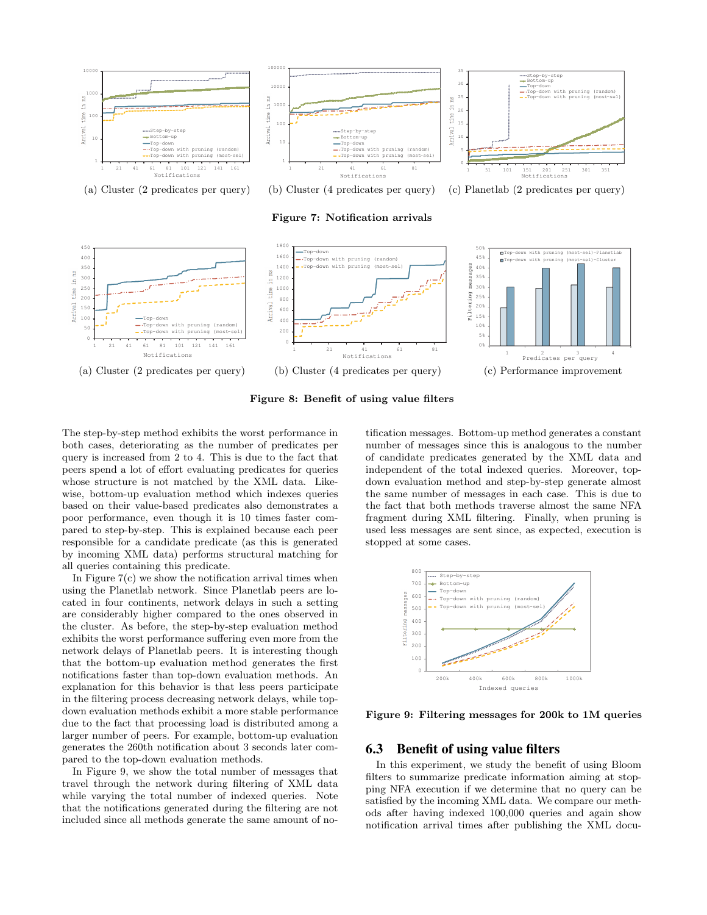



Figure 8: Benefit of using value filters

The step-by-step method exhibits the worst performance in both cases, deteriorating as the number of predicates per query is increased from 2 to 4. This is due to the fact that peers spend a lot of effort evaluating predicates for queries whose structure is not matched by the XML data. Likewise, bottom-up evaluation method which indexes queries based on their value-based predicates also demonstrates a poor performance, even though it is 10 times faster compared to step-by-step. This is explained because each peer responsible for a candidate predicate (as this is generated by incoming XML data) performs structural matching for all queries containing this predicate.

In Figure  $7(c)$  we show the notification arrival times when using the Planetlab network. Since Planetlab peers are located in four continents, network delays in such a setting are considerably higher compared to the ones observed in the cluster. As before, the step-by-step evaluation method exhibits the worst performance suffering even more from the network delays of Planetlab peers. It is interesting though that the bottom-up evaluation method generates the first notifications faster than top-down evaluation methods. An explanation for this behavior is that less peers participate in the filtering process decreasing network delays, while topdown evaluation methods exhibit a more stable performance due to the fact that processing load is distributed among a larger number of peers. For example, bottom-up evaluation generates the 260th notification about 3 seconds later compared to the top-down evaluation methods.

In Figure 9, we show the total number of messages that travel through the network during filtering of XML data while varying the total number of indexed queries. Note that the notifications generated during the filtering are not included since all methods generate the same amount of notification messages. Bottom-up method generates a constant number of messages since this is analogous to the number of candidate predicates generated by the XML data and independent of the total indexed queries. Moreover, topdown evaluation method and step-by-step generate almost the same number of messages in each case. This is due to the fact that both methods traverse almost the same NFA fragment during XML filtering. Finally, when pruning is used less messages are sent since, as expected, execution is stopped at some cases.



Figure 9: Filtering messages for 200k to 1M queries

#### **6.3 Benefit of using value filters**

In this experiment, we study the benefit of using Bloom filters to summarize predicate information aiming at stopping NFA execution if we determine that no query can be satisfied by the incoming XML data. We compare our methods after having indexed 100,000 queries and again show notification arrival times after publishing the XML docu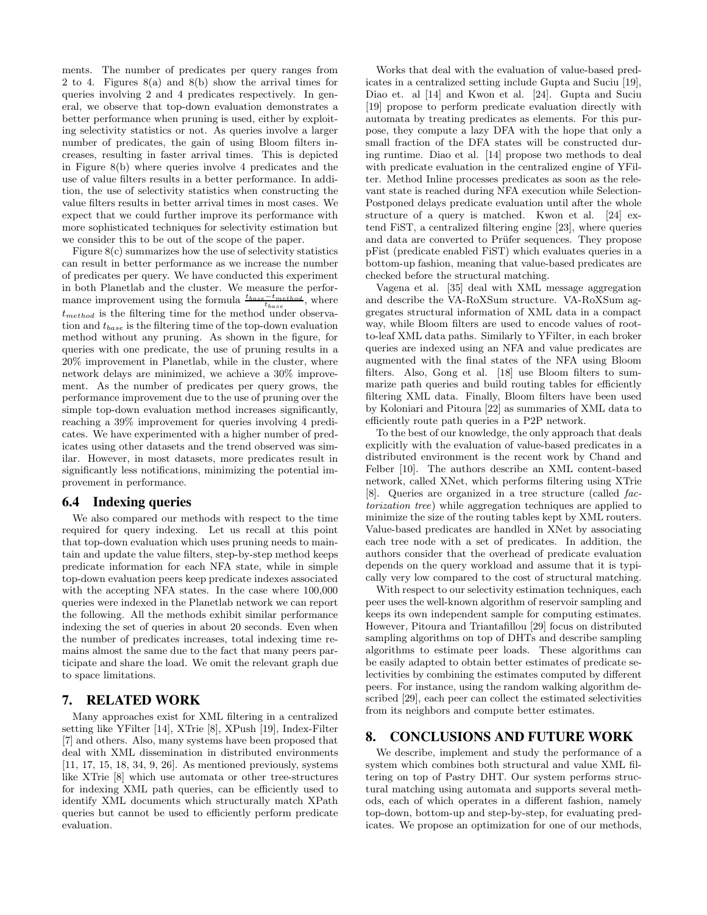ments. The number of predicates per query ranges from 2 to 4. Figures 8(a) and 8(b) show the arrival times for queries involving 2 and 4 predicates respectively. In general, we observe that top-down evaluation demonstrates a better performance when pruning is used, either by exploiting selectivity statistics or not. As queries involve a larger number of predicates, the gain of using Bloom filters increases, resulting in faster arrival times. This is depicted in Figure 8(b) where queries involve 4 predicates and the use of value filters results in a better performance. In addition, the use of selectivity statistics when constructing the value filters results in better arrival times in most cases. We expect that we could further improve its performance with more sophisticated techniques for selectivity estimation but we consider this to be out of the scope of the paper.

Figure 8(c) summarizes how the use of selectivity statistics can result in better performance as we increase the number of predicates per query. We have conducted this experiment in both Planetlab and the cluster. We measure the performance improvement using the formula  $t_{base} - t_{method}$ , where  $t_{method}$  is the filtering time for the method under observation and  $t_{base}$  is the filtering time of the top-down evaluation method without any pruning. As shown in the figure, for queries with one predicate, the use of pruning results in a 20% improvement in Planetlab, while in the cluster, where network delays are minimized, we achieve a 30% improvement. As the number of predicates per query grows, the performance improvement due to the use of pruning over the simple top-down evaluation method increases significantly, reaching a 39% improvement for queries involving 4 predicates. We have experimented with a higher number of predicates using other datasets and the trend observed was similar. However, in most datasets, more predicates result in significantly less notifications, minimizing the potential improvement in performance.

## **6.4 Indexing queries**

We also compared our methods with respect to the time required for query indexing. Let us recall at this point that top-down evaluation which uses pruning needs to maintain and update the value filters, step-by-step method keeps predicate information for each NFA state, while in simple top-down evaluation peers keep predicate indexes associated with the accepting NFA states. In the case where 100,000 queries were indexed in the Planetlab network we can report the following. All the methods exhibit similar performance indexing the set of queries in about 20 seconds. Even when the number of predicates increases, total indexing time remains almost the same due to the fact that many peers participate and share the load. We omit the relevant graph due to space limitations.

## **7. RELATED WORK**

Many approaches exist for XML filtering in a centralized setting like YFilter [14], XTrie [8], XPush [19], Index-Filter [7] and others. Also, many systems have been proposed that deal with XML dissemination in distributed environments [11, 17, 15, 18, 34, 9, 26]. As mentioned previously, systems like XTrie [8] which use automata or other tree-structures for indexing XML path queries, can be efficiently used to identify XML documents which structurally match XPath queries but cannot be used to efficiently perform predicate evaluation.

Works that deal with the evaluation of value-based predicates in a centralized setting include Gupta and Suciu [19], Diao et. al [14] and Kwon et al. [24]. Gupta and Suciu [19] propose to perform predicate evaluation directly with automata by treating predicates as elements. For this purpose, they compute a lazy DFA with the hope that only a small fraction of the DFA states will be constructed during runtime. Diao et al. [14] propose two methods to deal with predicate evaluation in the centralized engine of YFilter. Method Inline processes predicates as soon as the relevant state is reached during NFA execution while Selection-Postponed delays predicate evaluation until after the whole structure of a query is matched. Kwon et al. [24] extend FiST, a centralized filtering engine [23], where queries and data are converted to Prüfer sequences. They propose pFist (predicate enabled FiST) which evaluates queries in a bottom-up fashion, meaning that value-based predicates are checked before the structural matching.

Vagena et al. [35] deal with XML message aggregation and describe the VA-RoXSum structure. VA-RoXSum aggregates structural information of XML data in a compact way, while Bloom filters are used to encode values of rootto-leaf XML data paths. Similarly to YFilter, in each broker queries are indexed using an NFA and value predicates are augmented with the final states of the NFA using Bloom filters. Also, Gong et al. [18] use Bloom filters to summarize path queries and build routing tables for efficiently filtering XML data. Finally, Bloom filters have been used by Koloniari and Pitoura [22] as summaries of XML data to efficiently route path queries in a P2P network.

To the best of our knowledge, the only approach that deals explicitly with the evaluation of value-based predicates in a distributed environment is the recent work by Chand and Felber [10]. The authors describe an XML content-based network, called XNet, which performs filtering using XTrie [8]. Queries are organized in a tree structure (called factorization tree) while aggregation techniques are applied to minimize the size of the routing tables kept by XML routers. Value-based predicates are handled in XNet by associating each tree node with a set of predicates. In addition, the authors consider that the overhead of predicate evaluation depends on the query workload and assume that it is typically very low compared to the cost of structural matching.

With respect to our selectivity estimation techniques, each peer uses the well-known algorithm of reservoir sampling and keeps its own independent sample for computing estimates. However, Pitoura and Triantafillou [29] focus on distributed sampling algorithms on top of DHTs and describe sampling algorithms to estimate peer loads. These algorithms can be easily adapted to obtain better estimates of predicate selectivities by combining the estimates computed by different peers. For instance, using the random walking algorithm described [29], each peer can collect the estimated selectivities from its neighbors and compute better estimates.

## **8. CONCLUSIONS AND FUTURE WORK**

We describe, implement and study the performance of a system which combines both structural and value XML filtering on top of Pastry DHT. Our system performs structural matching using automata and supports several methods, each of which operates in a different fashion, namely top-down, bottom-up and step-by-step, for evaluating predicates. We propose an optimization for one of our methods,